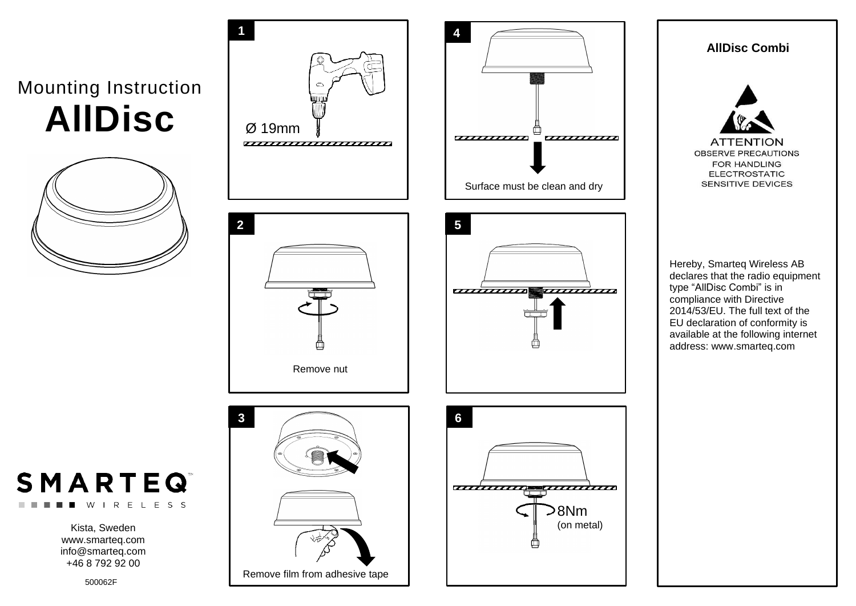## Mounting Instruction **AllDisc**





WIRELESS

Kista, Sweden www.smarteq.com [info@smarteq.com](mailto:info@smarteq.com) +46 8 792 92 00

500062F





## **AllDisc Combi**



Hereby, Smarteq Wireless AB declares that the radio equipment type "AllDisc Combi" is in compliance with Directive 2014/53/EU. The full text of the EU declaration of conformity is available at the following internet address: www.smarteq.com